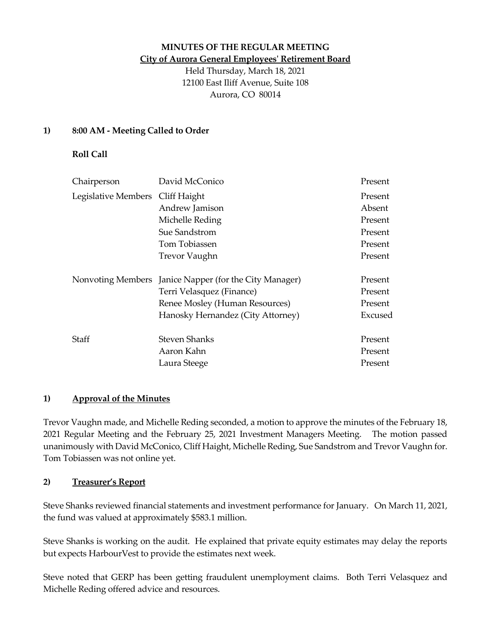## **MINUTES OF THE REGULAR MEETING City of Aurora General Employees' Retirement Board**

Held Thursday, March 18, 2021 12100 East Iliff Avenue, Suite 108 Aurora, CO 80014

## **1) 8:00 AM - Meeting Called to Order**

## **Roll Call**

| Chairperson                      | David McConico                                         | Present |
|----------------------------------|--------------------------------------------------------|---------|
| Legislative Members Cliff Haight |                                                        | Present |
|                                  | Andrew Jamison                                         | Absent  |
|                                  | Michelle Reding                                        | Present |
|                                  | Sue Sandstrom                                          | Present |
|                                  | Tom Tobiassen                                          | Present |
|                                  | <b>Trevor Vaughn</b>                                   | Present |
|                                  | Nonvoting Members Janice Napper (for the City Manager) | Present |
|                                  | Terri Velasquez (Finance)                              | Present |
|                                  | Renee Mosley (Human Resources)                         | Present |
|                                  | Hanosky Hernandez (City Attorney)                      | Excused |
| Staff                            | Steven Shanks                                          | Present |
|                                  | Aaron Kahn                                             | Present |
|                                  | Laura Steege                                           | Present |

#### **1) Approval of the Minutes**

Trevor Vaughn made, and Michelle Reding seconded, a motion to approve the minutes of the February 18, 2021 Regular Meeting and the February 25, 2021 Investment Managers Meeting. The motion passed unanimously with David McConico, Cliff Haight, Michelle Reding, Sue Sandstrom and Trevor Vaughn for. Tom Tobiassen was not online yet.

#### **2) Treasurer's Report**

Steve Shanks reviewed financial statements and investment performance for January. On March 11, 2021, the fund was valued at approximately \$583.1 million.

Steve Shanks is working on the audit. He explained that private equity estimates may delay the reports but expects HarbourVest to provide the estimates next week.

Steve noted that GERP has been getting fraudulent unemployment claims. Both Terri Velasquez and Michelle Reding offered advice and resources.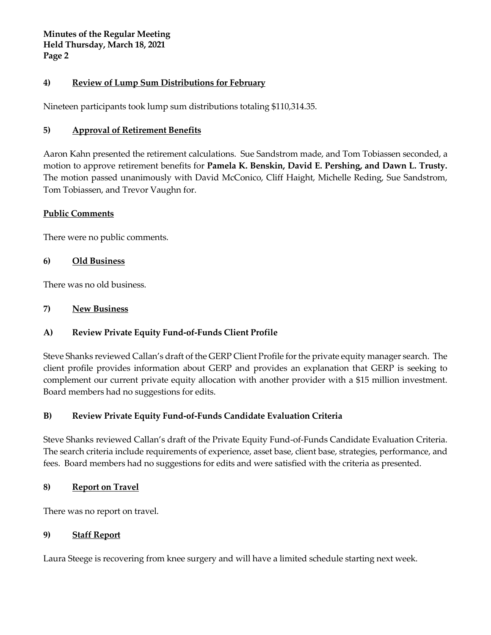**Minutes of the Regular Meeting Held Thursday, March 18, 2021 Page 2**

### **4) Review of Lump Sum Distributions for February**

Nineteen participants took lump sum distributions totaling \$110,314.35.

## **5) Approval of Retirement Benefits**

Aaron Kahn presented the retirement calculations. Sue Sandstrom made, and Tom Tobiassen seconded, a motion to approve retirement benefits for **Pamela K. Benskin, David E. Pershing, and Dawn L. Trusty.**  The motion passed unanimously with David McConico, Cliff Haight, Michelle Reding, Sue Sandstrom, Tom Tobiassen, and Trevor Vaughn for.

#### **Public Comments**

There were no public comments.

#### **6) Old Business**

There was no old business.

### **7) New Business**

# **A) Review Private Equity Fund-of-Funds Client Profile**

Steve Shanks reviewed Callan's draft of the GERP Client Profile for the private equity manager search. The client profile provides information about GERP and provides an explanation that GERP is seeking to complement our current private equity allocation with another provider with a \$15 million investment. Board members had no suggestions for edits.

# **B) Review Private Equity Fund-of-Funds Candidate Evaluation Criteria**

Steve Shanks reviewed Callan's draft of the Private Equity Fund-of-Funds Candidate Evaluation Criteria. The search criteria include requirements of experience, asset base, client base, strategies, performance, and fees. Board members had no suggestions for edits and were satisfied with the criteria as presented.

#### **8) Report on Travel**

There was no report on travel.

#### **9) Staff Report**

Laura Steege is recovering from knee surgery and will have a limited schedule starting next week.